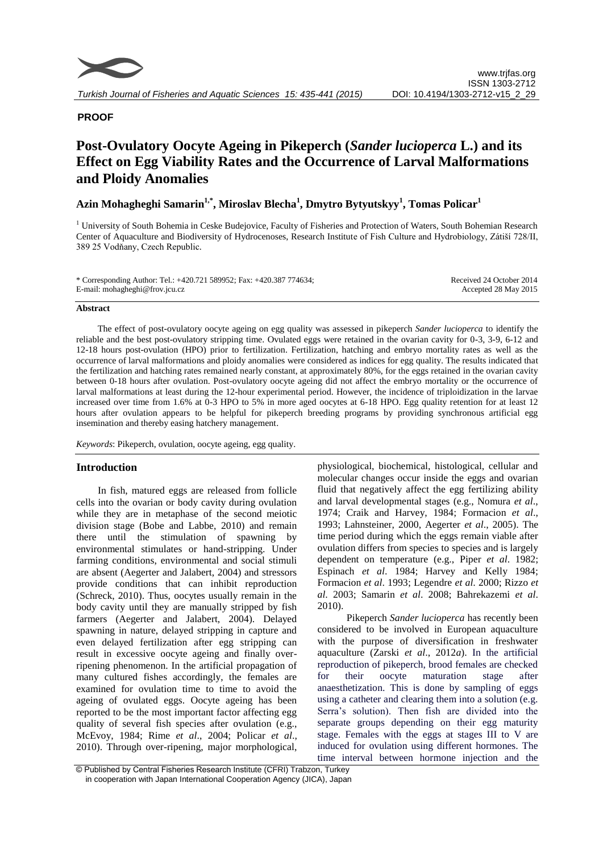

# **PROOF**

# **Post-Ovulatory Oocyte Ageing in Pikeperch (***Sander lucioperca* **L.) and its Effect on Egg Viability Rates and the Occurrence of Larval Malformations and Ploidy Anomalies**

# **Azin Mohagheghi Samarin1,\*, Miroslav Blecha<sup>1</sup> , Dmytro Bytyutskyy<sup>1</sup> , Tomas Policar<sup>1</sup>**

<sup>1</sup> University of South Bohemia in Ceske Budejovice, Faculty of Fisheries and Protection of Waters, South Bohemian Research Center of Aquaculture and Biodiversity of Hydrocenoses, Research Institute of Fish Culture and Hydrobiology, Zátiší 728/II, 389 25 Vodňany, Czech Republic.

| * Corresponding Author: Tel.: +420.721 589952; Fax: +420.387 774634; | Received 24 October 2014 |
|----------------------------------------------------------------------|--------------------------|
| E-mail: mohagheghi@frov.jcu.cz                                       | Accepted 28 May 2015     |

#### **Abstract**

The effect of post-ovulatory oocyte ageing on egg quality was assessed in pikeperch *Sander lucioperca* to identify the reliable and the best post-ovulatory stripping time. Ovulated eggs were retained in the ovarian cavity for 0-3, 3-9, 6-12 and 12-18 hours post-ovulation (HPO) prior to fertilization. Fertilization, hatching and embryo mortality rates as well as the occurrence of larval malformations and ploidy anomalies were considered as indices for egg quality. The results indicated that the fertilization and hatching rates remained nearly constant, at approximately 80%, for the eggs retained in the ovarian cavity between 0-18 hours after ovulation. Post-ovulatory oocyte ageing did not affect the embryo mortality or the occurrence of larval malformations at least during the 12-hour experimental period. However, the incidence of triploidization in the larvae increased over time from 1.6% at 0-3 HPO to 5% in more aged oocytes at 6-18 HPO. Egg quality retention for at least 12 hours after ovulation appears to be helpful for pikeperch breeding programs by providing synchronous artificial egg insemination and thereby easing hatchery management.

*Keywords*: Pikeperch, ovulation, oocyte ageing, egg quality.

# **Introduction**

In fish, matured eggs are released from follicle cells into the ovarian or body cavity during ovulation while they are in metaphase of the second meiotic division stage (Bobe and Labbe, 2010) and remain there until the stimulation of spawning by environmental stimulates or hand-stripping. Under farming conditions, environmental and social stimuli are absent (Aegerter and Jalabert, 2004) and stressors provide conditions that can inhibit reproduction (Schreck, 2010). Thus, oocytes usually remain in the body cavity until they are manually stripped by fish farmers (Aegerter and Jalabert, 2004). Delayed spawning in nature, delayed stripping in capture and even delayed fertilization after egg stripping can result in excessive oocyte ageing and finally overripening phenomenon. In the artificial propagation of many cultured fishes accordingly, the females are examined for ovulation time to time to avoid the ageing of ovulated eggs. Oocyte ageing has been reported to be the most important factor affecting egg quality of several fish species after ovulation (e.g., McEvoy, 1984; Rime *et al*., 2004; Policar *et al*., 2010). Through over-ripening, major morphological,

physiological, biochemical, histological, cellular and molecular changes occur inside the eggs and ovarian fluid that negatively affect the egg fertilizing ability and larval developmental stages (e.g., Nomura *et al*., 1974; Craik and Harvey, 1984; Formacion *et al*., 1993; Lahnsteiner, 2000, Aegerter *et al*., 2005). The time period during which the eggs remain viable after ovulation differs from species to species and is largely dependent on temperature (e.g., Piper *et al*. 1982; Espinach *et al*. 1984; Harvey and Kelly 1984; Formacion *et al*. 1993; Legendre *et al*. 2000; Rizzo *et al*. 2003; Samarin *et al*. 2008; Bahrekazemi *et al*. 2010).

 Pikeperch *Sander lucioperca* has recently been considered to be involved in European aquaculture with the purpose of diversification in freshwater aquaculture (Zarski *et al*., 2012*a*). In the artificial reproduction of pikeperch, brood females are checked for their oocyte maturation stage after anaesthetization. This is done by sampling of eggs using a catheter and clearing them into a solution (e.g. Serra's solution). Then fish are divided into the separate groups depending on their egg maturity stage. Females with the eggs at stages III to V are induced for ovulation using different hormones. The time interval between hormone injection and the

<sup>©</sup> Published by Central Fisheries Research Institute (CFRI) Trabzon, Turkey in cooperation with Japan International Cooperation Agency (JICA), Japan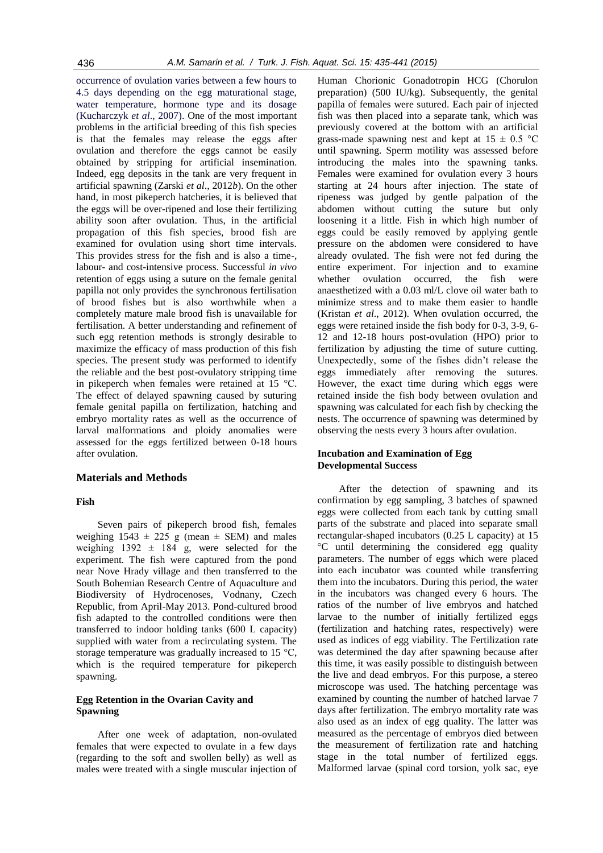occurrence of ovulation varies between a few hours to 4.5 days depending on the egg maturational stage, water temperature, hormone type and its dosage (Kucharczyk *et al*., 2007). One of the most important problems in the artificial breeding of this fish species is that the females may release the eggs after ovulation and therefore the eggs cannot be easily obtained by stripping for artificial insemination. Indeed, egg deposits in the tank are very frequent in artificial spawning (Zarski *et al*., 2012*b*). On the other hand, in most pikeperch hatcheries, it is believed that the eggs will be over-ripened and lose their fertilizing ability soon after ovulation. Thus, in the artificial propagation of this fish species, brood fish are examined for ovulation using short time intervals. This provides stress for the fish and is also a time-, labour- and cost-intensive process. Successful *in vivo* retention of eggs using a suture on the female genital papilla not only provides the synchronous fertilisation of brood fishes but is also worthwhile when a completely mature male brood fish is unavailable for fertilisation. A better understanding and refinement of such egg retention methods is strongly desirable to maximize the efficacy of mass production of this fish species. The present study was performed to identify the reliable and the best post-ovulatory stripping time in pikeperch when females were retained at 15 °C. The effect of delayed spawning caused by suturing female genital papilla on fertilization, hatching and embryo mortality rates as well as the occurrence of larval malformations and ploidy anomalies were assessed for the eggs fertilized between 0-18 hours after ovulation.

## **Materials and Methods**

#### **Fish**

Seven pairs of pikeperch brood fish, females weighing  $1543 \pm 225$  g (mean  $\pm$  SEM) and males weighing  $1392 \pm 184$  g, were selected for the experiment. The fish were captured from the pond near Nove Hrady village and then transferred to the South Bohemian Research Centre of Aquaculture and Biodiversity of Hydrocenoses, Vodnany, Czech Republic, from April-May 2013. Pond-cultured brood fish adapted to the controlled conditions were then transferred to indoor holding tanks (600 L capacity) supplied with water from a recirculating system. The storage temperature was gradually increased to 15 °C, which is the required temperature for pikeperch spawning.

#### **Egg Retention in the Ovarian Cavity and Spawning**

After one week of adaptation, non-ovulated females that were expected to ovulate in a few days (regarding to the soft and swollen belly) as well as males were treated with a single muscular injection of

Human Chorionic Gonadotropin HCG (Chorulon preparation) (500 IU/kg). Subsequently, the genital papilla of females were sutured. Each pair of injected fish was then placed into a separate tank, which was previously covered at the bottom with an artificial grass-made spawning nest and kept at  $15 \pm 0.5$  °C until spawning. Sperm motility was assessed before introducing the males into the spawning tanks. Females were examined for ovulation every 3 hours starting at 24 hours after injection. The state of ripeness was judged by gentle palpation of the abdomen without cutting the suture but only loosening it a little. Fish in which high number of eggs could be easily removed by applying gentle pressure on the abdomen were considered to have already ovulated. The fish were not fed during the entire experiment. For injection and to examine whether ovulation occurred, the fish were anaesthetized with a 0.03 ml/L clove oil water bath to minimize stress and to make them easier to handle (Kristan *et al*., 2012). When ovulation occurred, the eggs were retained inside the fish body for 0-3, 3-9, 6- 12 and 12-18 hours post-ovulation (HPO) prior to fertilization by adjusting the time of suture cutting. Unexpectedly, some of the fishes didn't release the eggs immediately after removing the sutures. However, the exact time during which eggs were retained inside the fish body between ovulation and spawning was calculated for each fish by checking the nests. The occurrence of spawning was determined by observing the nests every 3 hours after ovulation.

#### **Incubation and Examination of Egg Developmental Success**

After the detection of spawning and its confirmation by egg sampling, 3 batches of spawned eggs were collected from each tank by cutting small parts of the substrate and placed into separate small rectangular-shaped incubators (0.25 L capacity) at 15 °C until determining the considered egg quality parameters. The number of eggs which were placed into each incubator was counted while transferring them into the incubators. During this period, the water in the incubators was changed every 6 hours. The ratios of the number of live embryos and hatched larvae to the number of initially fertilized eggs (fertilization and hatching rates, respectively) were used as indices of egg viability. The Fertilization rate was determined the day after spawning because after this time, it was easily possible to distinguish between the live and dead embryos. For this purpose, a stereo microscope was used. The hatching percentage was examined by counting the number of hatched larvae 7 days after fertilization. The embryo mortality rate was also used as an index of egg quality. The latter was measured as the percentage of embryos died between the measurement of fertilization rate and hatching stage in the total number of fertilized eggs. Malformed larvae (spinal cord torsion, yolk sac, eye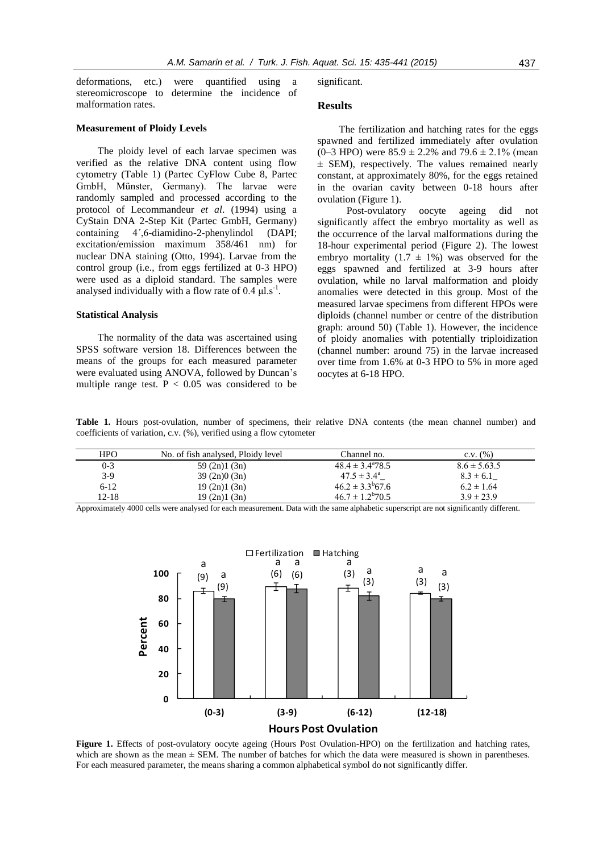deformations, etc.) were quantified using a stereomicroscope to determine the incidence of malformation rates.

#### **Measurement of Ploidy Levels**

The ploidy level of each larvae specimen was verified as the relative DNA content using flow cytometry (Table 1) (Partec CyFlow Cube 8, Partec GmbH, Münster, Germany). The larvae were randomly sampled and processed according to the protocol of Lecommandeur *et al*. (1994) using a CyStain DNA 2-Step Kit (Partec GmbH, Germany) containing 4´,6-diamidino-2-phenylindol (DAPI; excitation/emission maximum 358/461 nm) for nuclear DNA staining (Otto, 1994). Larvae from the control group (i.e., from eggs fertilized at 0-3 HPO) were used as a diploid standard. The samples were analysed individually with a flow rate of  $0.4 \mu$ l.s<sup>-1</sup>.

#### **Statistical Analysis**

The normality of the data was ascertained using SPSS software version 18. Differences between the means of the groups for each measured parameter were evaluated using ANOVA, followed by Duncan's multiple range test.  $P < 0.05$  was considered to be significant.

## **Results**

The fertilization and hatching rates for the eggs spawned and fertilized immediately after ovulation  $(0-3 \text{ HPO})$  were  $85.9 \pm 2.2\%$  and  $79.6 \pm 2.1\%$  (mean ± SEM), respectively. The values remained nearly constant, at approximately 80%, for the eggs retained in the ovarian cavity between 0-18 hours after ovulation (Figure 1).

 Post-ovulatory oocyte ageing did not significantly affect the embryo mortality as well as the occurrence of the larval malformations during the 18-hour experimental period (Figure 2). The lowest embryo mortality  $(1.7 \pm 1\%)$  was observed for the eggs spawned and fertilized at 3-9 hours after ovulation, while no larval malformation and ploidy anomalies were detected in this group. Most of the measured larvae specimens from different HPOs were diploids (channel number or centre of the distribution graph: around 50) (Table 1). However, the incidence of ploidy anomalies with potentially triploidization (channel number: around 75) in the larvae increased over time from 1.6% at 0-3 HPO to 5% in more aged oocytes at 6-18 HPO.

**Table 1.** Hours post-ovulation, number of specimens, their relative DNA contents (the mean channel number) and coefficients of variation, c.v. (%), verified using a flow cytometer

| <b>HPO</b> | No. of fish analysed, Ploidy level | Channel no.                | $C.V.$ $(\%)$    |
|------------|------------------------------------|----------------------------|------------------|
| $0 - 3$    | 59(2n)1(3n)                        | $48.4 \pm 3.4^{\circ}78.5$ | $8.6 \pm 5.63.5$ |
| $3-9$      | 39(2n)0(3n)                        | $47.5 \pm 3.4^{\circ}$     | $8.3 \pm 6.1$    |
| $6-12$     | 19(2n)1(3n)                        | $46.2 \pm 3.3^{b}67.6$     | $6.2 \pm 1.64$   |
| 12-18      | 19(2n)1(3n)                        | $46.7 \pm 1.2^{b}70.5$     | $3.9 \pm 23.9$   |

Approximately 4000 cells were analysed for each measurement. Data with the same alphabetic superscript are not significantly different.



Figure 1. Effects of post-ovulatory oocyte ageing (Hours Post Ovulation-HPO) on the fertilization and hatching rates, which are shown as the mean  $\pm$  SEM. The number of batches for which the data were measured is shown in parentheses. For each measured parameter, the means sharing a common alphabetical symbol do not significantly differ.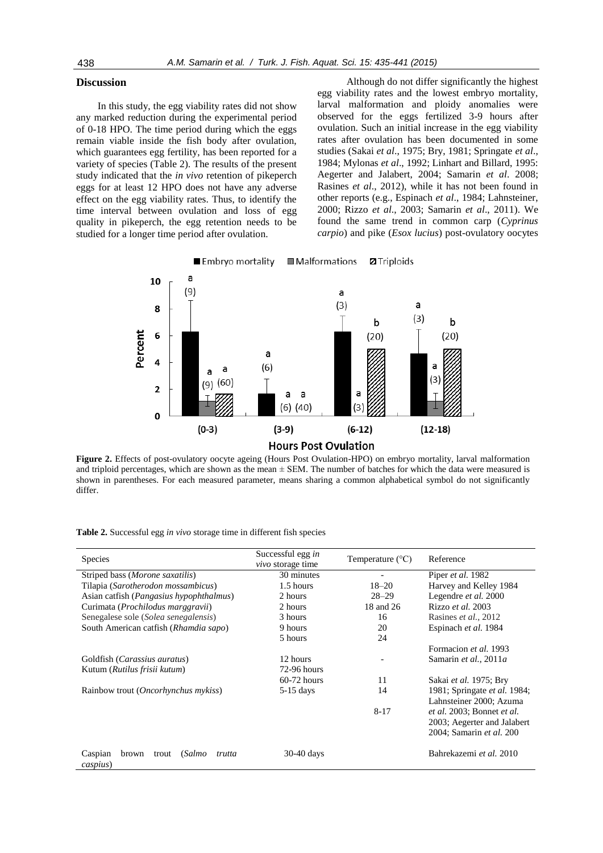## **Discussion**

In this study, the egg viability rates did not show any marked reduction during the experimental period of 0-18 HPO. The time period during which the eggs remain viable inside the fish body after ovulation, which guarantees egg fertility, has been reported for a variety of species (Table 2). The results of the present study indicated that the *in vivo* retention of pikeperch eggs for at least 12 HPO does not have any adverse effect on the egg viability rates. Thus, to identify the time interval between ovulation and loss of egg quality in pikeperch, the egg retention needs to be studied for a longer time period after ovulation.

 Although do not differ significantly the highest egg viability rates and the lowest embryo mortality, larval malformation and ploidy anomalies were observed for the eggs fertilized 3-9 hours after ovulation. Such an initial increase in the egg viability rates after ovulation has been documented in some studies (Sakai *et al*., 1975; Bry, 1981; Springate *et al*., 1984; Mylonas *et al*., 1992; Linhart and Billard, 1995: Aegerter and Jalabert, 2004; Samarin *et al*. 2008; Rasines *et al*., 2012), while it has not been found in other reports (e.g., Espinach *et al*., 1984; Lahnsteiner, 2000; Rizzo *et al*., 2003; Samarin *et al*., 2011). We found the same trend in common carp (*Cyprinus carpio*) and pike (*Esox lucius*) post-ovulatory oocytes



**Figure 2.** Effects of post-ovulatory oocyte ageing (Hours Post Ovulation-HPO) on embryo mortality, larval malformation and triploid percentages, which are shown as the mean  $\pm$  SEM. The number of batches for which the data were measured is shown in parentheses. For each measured parameter, means sharing a common alphabetical symbol do not significantly differ.

| Table 2. Successful egg in vivo storage time in different fish species |  |
|------------------------------------------------------------------------|--|
|------------------------------------------------------------------------|--|

| <b>Species</b>                                            | Successful egg in<br>vivo storage time | Temperature $(^{\circ}C)$ | Reference                    |
|-----------------------------------------------------------|----------------------------------------|---------------------------|------------------------------|
| Striped bass (Morone saxatilis)                           | 30 minutes                             |                           | Piper et al. 1982            |
| Tilapia (Sarotherodon mossambicus)                        | 1.5 hours                              | $18 - 20$                 | Harvey and Kelley 1984       |
| Asian catfish ( <i>Pangasius hypophthalmus</i> )          | 2 hours                                | $28 - 29$                 | Legendre et al. 2000         |
| Curimata ( <i>Prochilodus marggravii</i> )                | 2 hours                                | 18 and 26                 | Rizzo et al. 2003            |
| Senegalese sole (Solea senegalensis)                      | 3 hours                                | 16                        | Rasines et al., 2012         |
| South American catfish (Rhamdia sapo)                     | 9 hours                                | 20                        | Espinach et al. 1984         |
|                                                           | 5 hours                                | 24                        |                              |
|                                                           |                                        |                           | Formacion et al. 1993        |
| Goldfish ( <i>Carassius auratus</i> )                     | 12 hours                               |                           | Samarin et al., 2011a        |
| Kutum (Rutilus frisii kutum)                              | $72-96$ hours                          |                           |                              |
|                                                           | $60-72$ hours                          | 11                        | Sakai et al. 1975; Bry       |
| Rainbow trout ( <i>Oncorhynchus mykiss</i> )              | $5-15$ days                            | 14                        | 1981; Springate et al. 1984; |
|                                                           |                                        |                           | Lahnsteiner 2000; Azuma      |
|                                                           |                                        | $8 - 17$                  | et al. 2003; Bonnet et al.   |
|                                                           |                                        |                           | 2003; Aegerter and Jalabert  |
|                                                           |                                        |                           | 2004; Samarin et al. 200     |
| Caspian<br>(Salmo<br>brown<br>trout<br>trutta<br>caspius) | $30-40$ days                           |                           | Bahrekazemi et al. 2010      |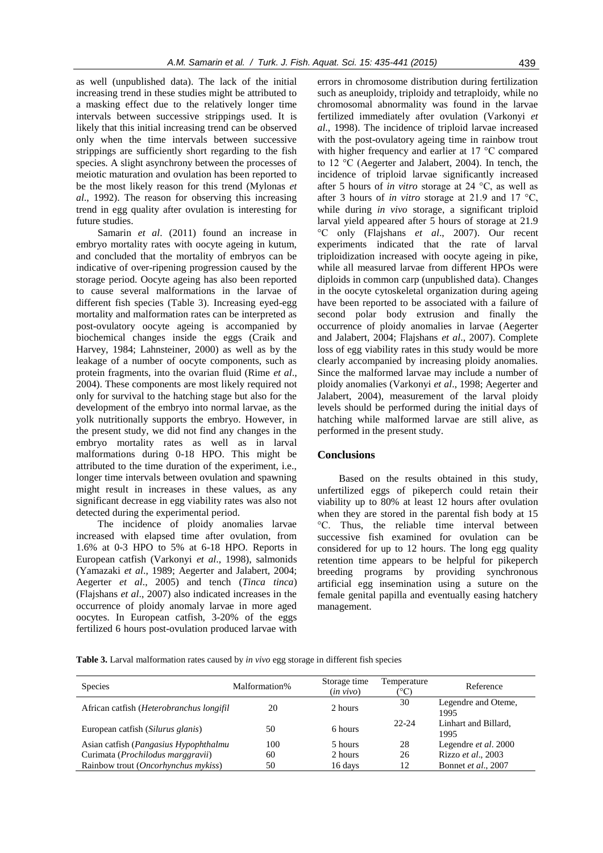as well (unpublished data). The lack of the initial increasing trend in these studies might be attributed to a masking effect due to the relatively longer time intervals between successive strippings used. It is likely that this initial increasing trend can be observed only when the time intervals between successive strippings are sufficiently short regarding to the fish species. A slight asynchrony between the processes of meiotic maturation and ovulation has been reported to be the most likely reason for this trend (Mylonas *et al*., 1992). The reason for observing this increasing trend in egg quality after ovulation is interesting for future studies.

Samarin *et al*. (2011) found an increase in embryo mortality rates with oocyte ageing in kutum, and concluded that the mortality of embryos can be indicative of over-ripening progression caused by the storage period. Oocyte ageing has also been reported to cause several malformations in the larvae of different fish species (Table 3). Increasing eyed-egg mortality and malformation rates can be interpreted as post-ovulatory oocyte ageing is accompanied by biochemical changes inside the eggs (Craik and Harvey, 1984; Lahnsteiner, 2000) as well as by the leakage of a number of oocyte components, such as protein fragments, into the ovarian fluid (Rime *et al*., 2004). These components are most likely required not only for survival to the hatching stage but also for the development of the embryo into normal larvae, as the yolk nutritionally supports the embryo. However, in the present study, we did not find any changes in the embryo mortality rates as well as in larval malformations during 0-18 HPO. This might be attributed to the time duration of the experiment, i.e., longer time intervals between ovulation and spawning might result in increases in these values, as any significant decrease in egg viability rates was also not detected during the experimental period.

The incidence of ploidy anomalies larvae increased with elapsed time after ovulation, from 1.6% at 0-3 HPO to 5% at 6-18 HPO. Reports in European catfish (Varkonyi *et al*., 1998), salmonids (Yamazaki *et al*., 1989; Aegerter and Jalabert, 2004; Aegerter *et al*., 2005) and tench (*Tinca tinca*) (Flajshans *et al*., 2007) also indicated increases in the occurrence of ploidy anomaly larvae in more aged oocytes. In European catfish, 3-20% of the eggs fertilized 6 hours post-ovulation produced larvae with

errors in chromosome distribution during fertilization such as aneuploidy, triploidy and tetraploidy, while no chromosomal abnormality was found in the larvae fertilized immediately after ovulation (Varkonyi *et al*., 1998). The incidence of triploid larvae increased with the post-ovulatory ageing time in rainbow trout with higher frequency and earlier at 17 °C compared to 12 °C (Aegerter and Jalabert, 2004). In tench, the incidence of triploid larvae significantly increased after 5 hours of *in vitro* storage at 24 °C, as well as after 3 hours of *in vitro* storage at 21.9 and 17 °C, while during *in vivo* storage, a significant triploid larval yield appeared after 5 hours of storage at 21.9 °C only (Flajshans *et al*., 2007). Our recent experiments indicated that the rate of larval triploidization increased with oocyte ageing in pike, while all measured larvae from different HPOs were diploids in common carp (unpublished data). Changes in the oocyte cytoskeletal organization during ageing have been reported to be associated with a failure of second polar body extrusion and finally the occurrence of ploidy anomalies in larvae (Aegerter and Jalabert, 2004; Flajshans *et al*., 2007). Complete loss of egg viability rates in this study would be more clearly accompanied by increasing ploidy anomalies. Since the malformed larvae may include a number of ploidy anomalies (Varkonyi *et al*., 1998; Aegerter and Jalabert, 2004), measurement of the larval ploidy levels should be performed during the initial days of hatching while malformed larvae are still alive, as performed in the present study.

#### **Conclusions**

Based on the results obtained in this study, unfertilized eggs of pikeperch could retain their viability up to 80% at least 12 hours after ovulation when they are stored in the parental fish body at 15 °C. Thus, the reliable time interval between successive fish examined for ovulation can be considered for up to 12 hours. The long egg quality retention time appears to be helpful for pikeperch breeding programs by providing synchronous artificial egg insemination using a suture on the female genital papilla and eventually easing hatchery management.

**Table 3.** Larval malformation rates caused by *in vivo* egg storage in different fish species

| <b>Species</b>                                   | Malformation% | Storage time<br>$(in \, vivo)$ | Temperature | Reference                    |
|--------------------------------------------------|---------------|--------------------------------|-------------|------------------------------|
| African catfish ( <i>Heterobranchus longifil</i> | 20            | 2 hours                        | 30          | Legendre and Oteme,<br>1995  |
| European catfish (Silurus glanis)                | 50            | 6 hours                        | $22 - 24$   | Linhart and Billard,<br>1995 |
| Asian catfish ( <i>Pangasius Hypophthalmu</i>    | 100           | 5 hours                        | 28          | Legendre et al. 2000         |
| Curimata (Prochilodus marggravii)                | 60            | 2 hours                        | 26          | Rizzo et al., 2003           |
| Rainbow trout (Oncorhynchus mykiss)              | 50            | 16 days                        | 12          | Bonnet et al., 2007          |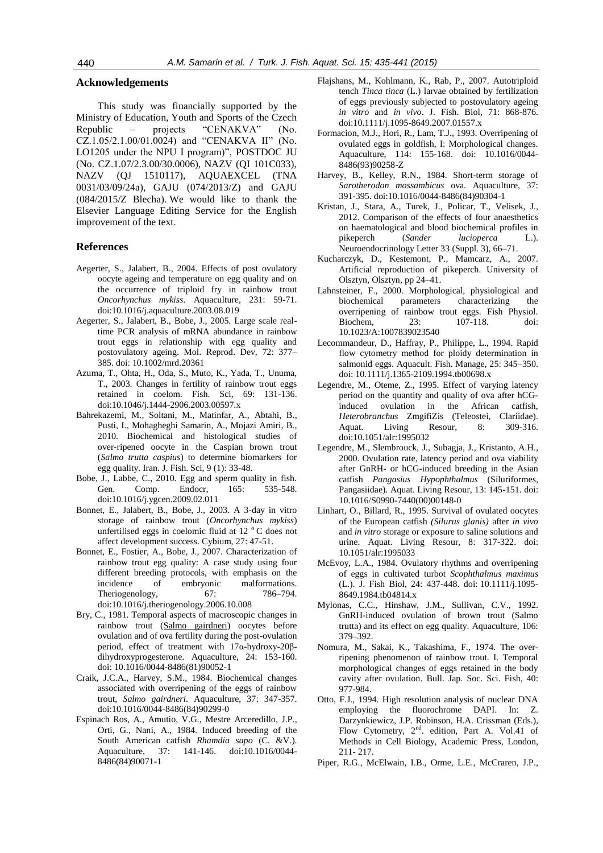## **Acknowledgements**

This study was financially supported by the Ministry of Education, Youth and Sports of the Czech Republic – projects "CENAKVA" (No. CZ.1.05/2.1.00/01.0024) and "CENAKVA II" (No. LO1205 under the NPU I program)", POSTDOC JU (No. CZ.1.07/2.3.00/30.0006), NAZV (QI 101C033), NAZV (QJ 1510117), AQUAEXCEL (TNA 0031/03/09/24a), GAJU (074/2013/Z) and GAJU (084/2015/Z Blecha). We would like to thank the Elsevier Language Editing Service for the English improvement of the text.

#### **References**

- Aegerter, S., Jalabert, B., 2004. Effects of post ovulatory oocyte ageing and temperature on egg quality and on the occurrence of triploid fry in rainbow trout *Oncorhynchus mykiss*. Aquaculture, 231: 59-71. doi:10.1016/j.aquaculture.2003.08.019
- Aegerter, S., Jalabert, B., Bobe, J., 2005. Large scale realtime PCR analysis of mRNA abundance in rainbow trout eggs in relationship with egg quality and postovulatory ageing. Mol. Reprod. Dev, 72: 377– 385. doi: 10.1002/mrd.20361
- Azuma, T., Ohta, H., Oda, S., Muto, K., Yada, T., Unuma, T., 2003. Changes in fertility of rainbow trout eggs retained in coelom. Fish. Sci, 69: 131-136. doi:10.1046/j.1444-2906.2003.00597.x
- Bahrekazemi, M., Soltani, M., Matinfar, A., Abtahi, B., Pusti, I., Mohagheghi Samarin, A., Mojazi Amiri, B., 2010. Biochemical and histological studies of over‐ripened oocyte in the Caspian brown trout (*Salmo trutta caspius*) to determine biomarkers for egg quality. Iran. J. Fish. Sci, 9 (1): 33‐48.
- Bobe, J., Labbe, C., 2010. Egg and sperm quality in fish. Gen. Comp. Endocr, 165: 535-548. doi:10.1016/j.ygcen.2009.02.011
- Bonnet, E., Jalabert, B., Bobe, J., 2003. A 3-day in vitro storage of rainbow trout (*Oncorhynchus mykiss*) unfertilised eggs in coelomic fluid at 12 $\degree$ C does not affect development success. Cybium, 27: 47-51.
- Bonnet, E., Fostier, A., Bobe, J., 2007. Characterization of rainbow trout egg quality: A case study using four different breeding protocols, with emphasis on the incidence of embryonic malformations. Theriogenology, 67: 786–794. doi:10.1016/j.theriogenology.2006.10.008
- Bry, C., 1981. Temporal aspects of macroscopic changes in rainbow trout (Salmo gairdneri) oocytes before ovulation and of ova fertility during the post-ovulation period, effect of treatment with 17α-hydroxy-20βdihydroxyprogesterone. Aquaculture, 24: 153-160. doi: 10.1016/0044-8486(81)90052-1
- Craik, J.C.A., Harvey, S.M., 1984. Biochemical changes associated with overripening of the eggs of rainbow trout, *Salmo gairdneri*. Aquaculture, 37: 347-357. doi:10.1016/0044-8486(84)90299-0
- Espinach Ros, A., Amutio, V.G., Mestre Arceredillo, J.P., Orti, G., Nani, A., 1984. Induced breeding of the South American catfish *Rhamdia sapo* (C. &V.). Aquaculture, 37: 141-146. doi:10.1016/0044- 8486(84)90071-1
- Flajshans, M., Kohlmann, K., Rab, P., 2007. Autotriploid tench *Tinca tinca* (L.) larvae obtained by fertilization of eggs previously subjected to postovulatory ageing *in vitro* and *in vivo*. J. Fish. Biol, 71: 868-876. doi:10.1111/j.1095-8649.2007.01557.x
- Formacion, M.J., Hori, R., Lam, T.J., 1993. Overripening of ovulated eggs in goldfish, I: Morphological changes. Aquaculture, 114: 155-168. doi: 10.1016/0044- 8486(93)90258-Z
- Harvey, B., Kelley, R.N., 1984. Short-term storage of *Sarotherodon mossambicus* ova. Aquaculture, 37: 391-395. doi:10.1016/0044-8486(84)90304-1
- Kristan, J., Stara, A., Turek, J., Policar, T., Velisek, J., 2012. Comparison of the effects of four anaesthetics on haematological and blood biochemical profiles in pikeperch (*Sander lucioperca* L.). Neuroendocrinology Letter 33 (Suppl. 3), 66–71.
- Kucharczyk, D., Kestemont, P., Mamcarz, A., 2007. Artificial reproduction of pikeperch. University of Olsztyn, Olsztyn, pp 24–41.
- Lahnsteiner, F., 2000. Morphological, physiological and biochemical parameters characterizing the overripening of rainbow trout eggs. Fish Physiol. Biochem, 23: 107-118. doi: 10.1023/A:1007839023540
- Lecommandeur, D., Haffray, P., Philippe, L., 1994. Rapid flow cytometry method for ploidy determination in salmonid eggs. Aquacult. Fish. Manage, 25: 345–350. doi: 10.1111/j.1365-2109.1994.tb00698.x
- Legendre, M., Oteme, Z., 1995. Effect of varying latency period on the quantity and quality of ova after hCGinduced ovulation in the African catfish, *Heterobranchus* ZmgifiZis (Teleostei, Clariidae). Aquat. Living Resour, 8: 309-316. doi:10.1051/alr:1995032
- Legendre, M., Slembrouck, J., Subagja, J., Kristanto, A.H., 2000. Ovulation rate, latency period and ova viability after GnRH- or hCG-induced breeding in the Asian catfish *Pangasius Hypophthalmus* (Siluriformes, Pangasiidae). Aquat. Living Resour, 13: 145-151. doi: 10.1016/S0990-7440(00)00148-0
- Linhart, O., Billard, R., 1995. Survival of ovulated oocytes of the European catfish *(Silurus glanis)* after *in vivo*  and *in vitro* storage or exposure to saline solutions and urine. Aquat. Living Resour, 8: 317-322. doi: 10.1051/alr:1995033
- McEvoy, L.A., 1984. Ovulatory rhythms and overripening of eggs in cultivated turbot *Scophthalmus maximus* (L.). J. Fish Biol, 24: 437-448. doi: 10.1111/j.1095- 8649.1984.tb04814.x
- Mylonas, C.C., Hinshaw, J.M., Sullivan, C.V., 1992. GnRH-induced ovulation of brown trout (Salmo trutta) and its effect on egg quality. Aquaculture, 106: 379–392.
- Nomura, M., Sakai, K., Takashima, F., 1974. The overripening phenomenon of rainbow trout. I. Temporal morphological changes of eggs retained in the body cavity after ovulation. Bull. Jap. Soc. Sci. Fish, 40: 977-984.
- Otto, F.J., 1994. High resolution analysis of nuclear DNA employing the fluorochrome DAPI. In: Z. Darzynkiewicz, J.P. Robinson, H.A. Crissman (Eds.), Flow Cytometry,  $2<sup>nd</sup>$ , edition, Part A. Vol.41 of Methods in Cell Biology, Academic Press, London, 211- 217.
- Piper, R.G., McElwain, I.B., Orme, L.E., McCraren, J.P.,